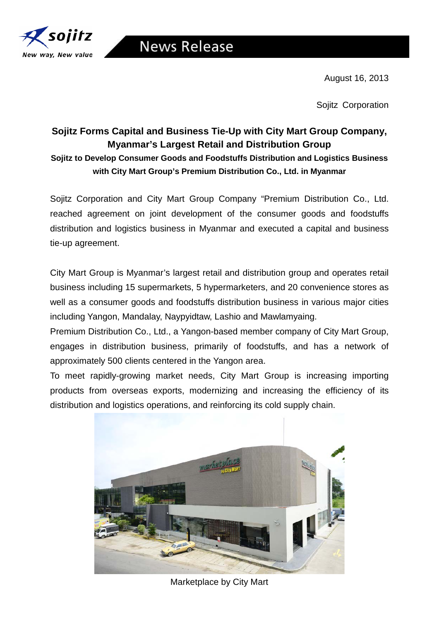

August 16, 2013

Sojitz Corporation

## **Sojitz Forms Capital and Business Tie-Up with City Mart Group Company, Myanmar's Largest Retail and Distribution Group Sojitz to Develop Consumer Goods and Foodstuffs Distribution and Logistics Business with City Mart Group's Premium Distribution Co., Ltd. in Myanmar**

Sojitz Corporation and City Mart Group Company "Premium Distribution Co., Ltd. reached agreement on joint development of the consumer goods and foodstuffs distribution and logistics business in Myanmar and executed a capital and business tie-up agreement.

City Mart Group is Myanmar's largest retail and distribution group and operates retail business including 15 supermarkets, 5 hypermarketers, and 20 convenience stores as well as a consumer goods and foodstuffs distribution business in various major cities including Yangon, Mandalay, Naypyidtaw, Lashio and Mawlamyaing.

Premium Distribution Co., Ltd., a Yangon-based member company of City Mart Group, engages in distribution business, primarily of foodstuffs, and has a network of approximately 500 clients centered in the Yangon area.

To meet rapidly-growing market needs, City Mart Group is increasing importing products from overseas exports, modernizing and increasing the efficiency of its distribution and logistics operations, and reinforcing its cold supply chain.



Marketplace by City Mart